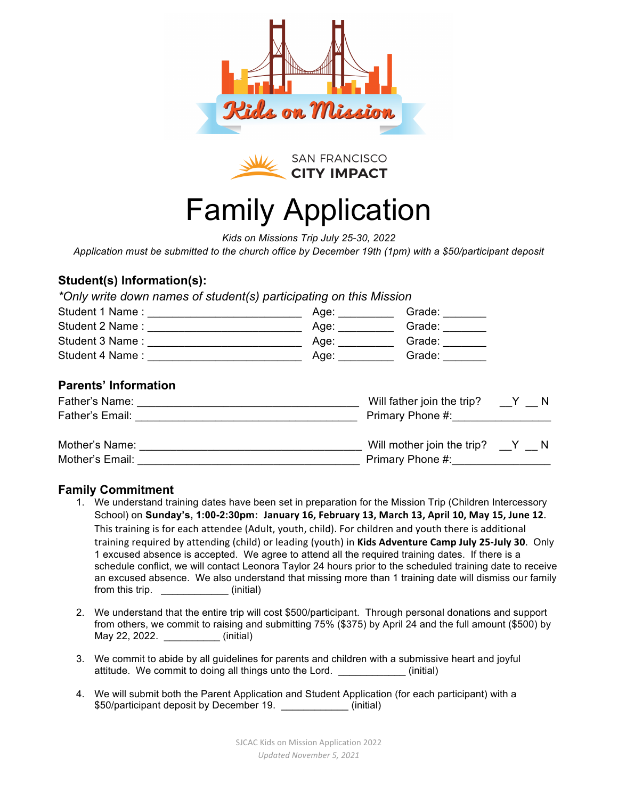



## Family Application

*Kids on Missions Trip July 25-30, 2022*

*Application must be submitted to the church office by December 19th (1pm) with a \$50/participant deposit*

### **Student(s) Information(s):**

*\*Only write down names of student(s) participating on this Mission* 

|                             | Age: __________      | Grade: $\frac{1}{\sqrt{1-\frac{1}{2}}\cdot\frac{1}{\sqrt{1-\frac{1}{2}}}}$                                                                                                                                                                                                                                                                                                                                                         |  |
|-----------------------------|----------------------|------------------------------------------------------------------------------------------------------------------------------------------------------------------------------------------------------------------------------------------------------------------------------------------------------------------------------------------------------------------------------------------------------------------------------------|--|
|                             | Age: _______         | Grade: _______                                                                                                                                                                                                                                                                                                                                                                                                                     |  |
|                             | Age: $\qquad \qquad$ | Grade: $\frac{1}{\sqrt{1-\frac{1}{2}}\cdot\sqrt{1-\frac{1}{2}}\cdot\sqrt{1-\frac{1}{2}}\cdot\sqrt{1-\frac{1}{2}}\cdot\sqrt{1-\frac{1}{2}}\cdot\sqrt{1-\frac{1}{2}}\cdot\sqrt{1-\frac{1}{2}}\cdot\sqrt{1-\frac{1}{2}}\cdot\sqrt{1-\frac{1}{2}}\cdot\sqrt{1-\frac{1}{2}}\cdot\sqrt{1-\frac{1}{2}}\cdot\sqrt{1-\frac{1}{2}}\cdot\sqrt{1-\frac{1}{2}}\cdot\sqrt{1-\frac{1}{2}}\cdot\sqrt{1-\frac{1}{2}}\cdot\sqrt{1-\frac{1}{2}}\cdot$ |  |
|                             | Age: $\qquad \qquad$ | Grade:                                                                                                                                                                                                                                                                                                                                                                                                                             |  |
| <b>Parents' Information</b> |                      |                                                                                                                                                                                                                                                                                                                                                                                                                                    |  |
|                             |                      | Will father join the trip? $Y \cap N$                                                                                                                                                                                                                                                                                                                                                                                              |  |
|                             |                      | Primary Phone #:                                                                                                                                                                                                                                                                                                                                                                                                                   |  |
|                             |                      | Will mother join the trip? $Y$ $N$                                                                                                                                                                                                                                                                                                                                                                                                 |  |
| Mother's Email:             |                      | Primary Phone #:                                                                                                                                                                                                                                                                                                                                                                                                                   |  |

#### **Family Commitment**

- 1. We understand training dates have been set in preparation for the Mission Trip (Children Intercessory School) on **Sunday's, 1:00-2:30pm: January 16, February 13, March 13, April 10, May 15, June 12.** This training is for each attendee (Adult, youth, child). For children and youth there is additional training required by attending (child) or leading (youth) in **Kids Adventure Camp July 25-July 30**. Only 1 excused absence is accepted. We agree to attend all the required training dates. If there is a schedule conflict, we will contact Leonora Taylor 24 hours prior to the scheduled training date to receive an excused absence. We also understand that missing more than 1 training date will dismiss our family from this trip.  $\qquad \qquad$  (initial)
- 2. We understand that the entire trip will cost \$500/participant. Through personal donations and support from others, we commit to raising and submitting 75% (\$375) by April 24 and the full amount (\$500) by May 22, 2022. \_\_\_\_\_\_\_\_\_\_ (initial)
- 3. We commit to abide by all guidelines for parents and children with a submissive heart and joyful attitude. We commit to doing all things unto the Lord. \_\_\_\_\_\_\_\_\_\_\_\_ (initial)
- 4. We will submit both the Parent Application and Student Application (for each participant) with a \$50/participant deposit by December 19. **Example 19.** (initial)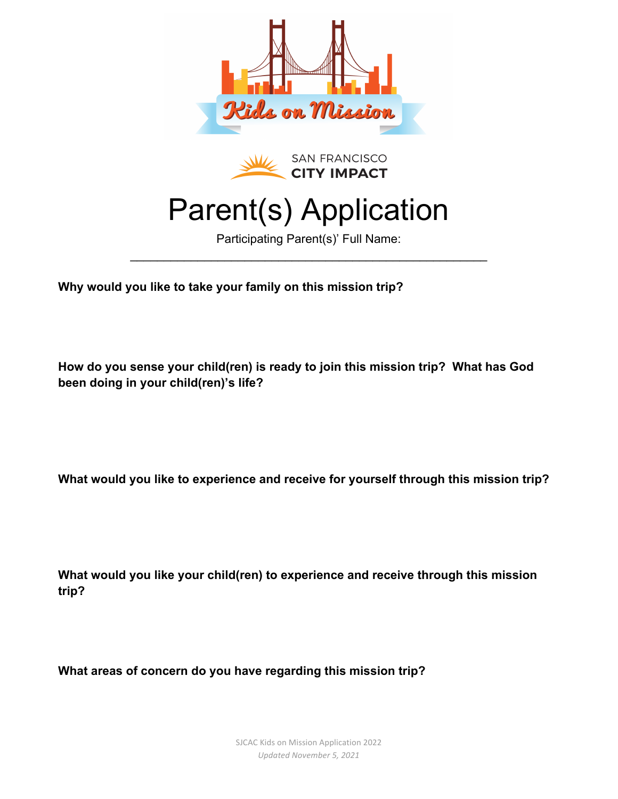



## Parent(s) Application

Participating Parent(s)' Full Name:  $\mathcal{L}_\text{max}$  and  $\mathcal{L}_\text{max}$  and  $\mathcal{L}_\text{max}$  and  $\mathcal{L}_\text{max}$  and  $\mathcal{L}_\text{max}$ 

**Why would you like to take your family on this mission trip?**

**How do you sense your child(ren) is ready to join this mission trip? What has God been doing in your child(ren)'s life?**

**What would you like to experience and receive for yourself through this mission trip?**

**What would you like your child(ren) to experience and receive through this mission trip?**

**What areas of concern do you have regarding this mission trip?**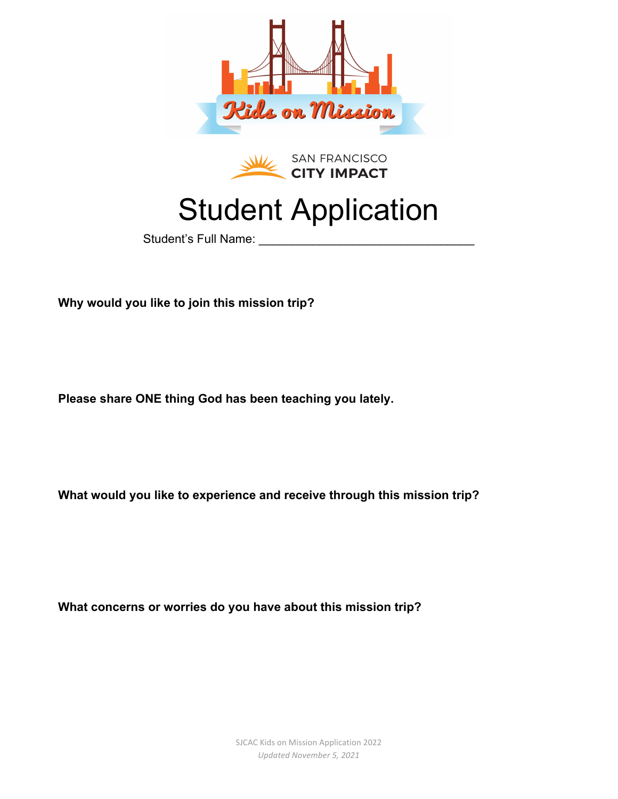



## Student Application

Student's Full Name:

**Why would you like to join this mission trip?**

**Please share ONE thing God has been teaching you lately.**

**What would you like to experience and receive through this mission trip?**

**What concerns or worries do you have about this mission trip?**

SJCAC Kids on Mission Application 2022 *Updated November 5, 2021*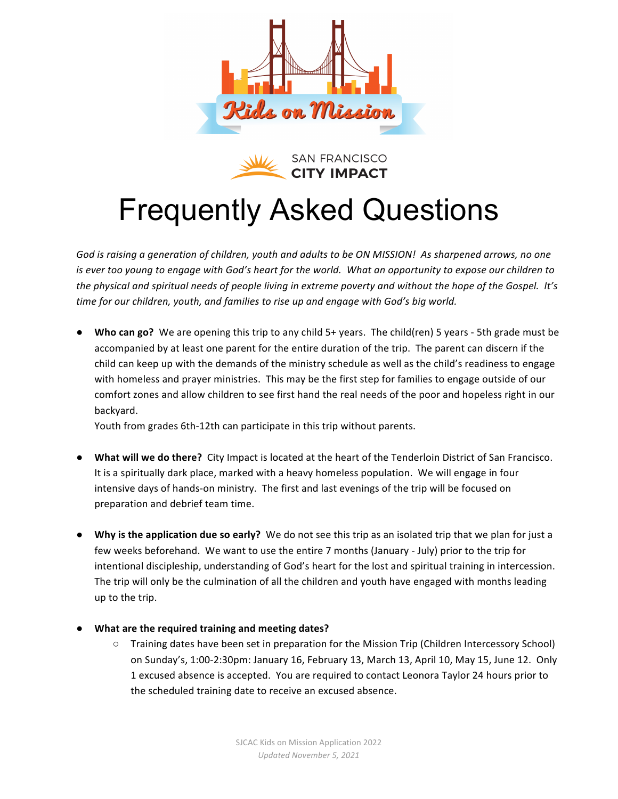



# Frequently Asked Questions

God is raising a generation of children, youth and adults to be ON MISSION! As sharpened arrows, no one *is* ever too young to engage with God's heart for the world. What an opportunity to expose our children to *the physical and spiritual needs of people living in extreme poverty and without the hope of the Gospel. It's time for our children, youth, and families to rise up and engage with God's big world.* 

• Who can go? We are opening this trip to any child 5+ years. The child(ren) 5 years - 5th grade must be accompanied by at least one parent for the entire duration of the trip. The parent can discern if the child can keep up with the demands of the ministry schedule as well as the child's readiness to engage with homeless and prayer ministries. This may be the first step for families to engage outside of our comfort zones and allow children to see first hand the real needs of the poor and hopeless right in our backyard.

Youth from grades 6th-12th can participate in this trip without parents.

- **What will we do there?** City Impact is located at the heart of the Tenderloin District of San Francisco. It is a spiritually dark place, marked with a heavy homeless population. We will engage in four intensive days of hands-on ministry. The first and last evenings of the trip will be focused on preparation and debrief team time.
- Why is the application due so early? We do not see this trip as an isolated trip that we plan for just a few weeks beforehand. We want to use the entire 7 months (January - July) prior to the trip for intentional discipleship, understanding of God's heart for the lost and spiritual training in intercession. The trip will only be the culmination of all the children and youth have engaged with months leading up to the trip.
- **What are the required training and meeting dates?** 
	- $\circ$  Training dates have been set in preparation for the Mission Trip (Children Intercessory School) on Sunday's, 1:00-2:30pm: January 16, February 13, March 13, April 10, May 15, June 12. Only 1 excused absence is accepted. You are required to contact Leonora Taylor 24 hours prior to the scheduled training date to receive an excused absence.